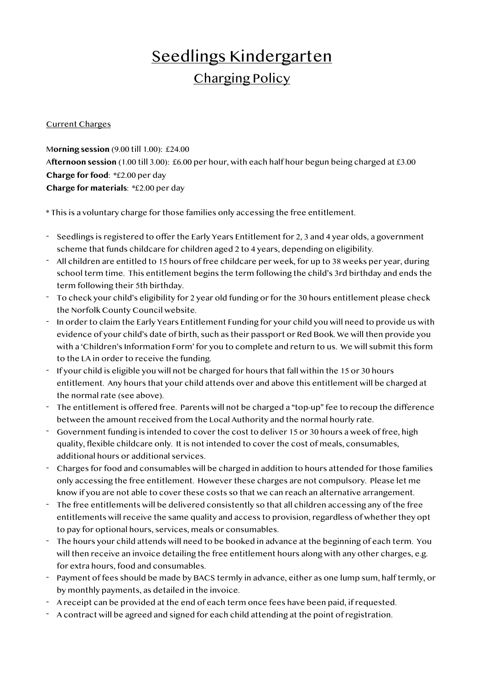## Seedlings Kindergarten Charging Policy

## Current Charges

M**orning session** (9.00 till 1.00): £24.00 A**fternoon session** (1.00 till 3.00): £6.00 per hour, with each half hour begun being charged at £3.00 **Charge for food**: \*£2.00 per day **Charge for materials**: \*£2.00 per day

\* This is a voluntary charge for those families only accessing the free entitlement.

- Seedlings is registered to offer the Early Years Entitlement for 2, 3 and 4 year olds, a government scheme that funds childcare for children aged 2 to 4 years, depending on eligibility.
- All children are entitled to 15 hours of free childcare per week, for up to 38 weeks per year, during school term time. This entitlement begins the term following the child's 3rd birthday and ends the term following their 5th birthday.
- To check your child's eligibility for 2 year old funding or for the 30 hours entitlement please check the Norfolk County Council website.
- In order to claim the Early Years Entitlement Funding for your child you will need to provide us with evidence of your child's date of birth, such as their passport or Red Book. We will then provide you with a 'Children's Information Form' for you to complete and return to us. We will submit this form to the LA in order to receive the funding.
- If your child is eligible you will not be charged for hours that fall within the 15 or 30 hours entitlement. Any hours that your child attends over and above this entitlement will be charged at the normal rate (see above).
- The entitlement is offered free. Parents will not be charged a "top-up" fee to recoup the difference between the amount received from the Local Authority and the normal hourly rate.
- Government funding is intended to cover the cost to deliver 15 or 30 hours a week of free, high quality, flexible childcare only. It is not intended to cover the cost of meals, consumables, additional hours or additional services.
- Charges for food and consumables will be charged in addition to hours attended for those families only accessing the free entitlement. However these charges are not compulsory. Please let me know if you are not able to cover these costs so that we can reach an alternative arrangement.
- The free entitlements will be delivered consistently so that all children accessing any of the free entitlements will receive the same quality and access to provision, regardless of whether they opt to pay for optional hours, services, meals or consumables.
- The hours your child attends will need to be booked in advance at the beginning of each term. You will then receive an invoice detailing the free entitlement hours along with any other charges, e.g. for extra hours, food and consumables.
- Payment of fees should be made by BACS termly in advance, either as one lump sum, half termly, or by monthly payments, as detailed in the invoice.
- A receipt can be provided at the end of each term once fees have been paid, if requested.
- A contract will be agreed and signed for each child attending at the point of registration.